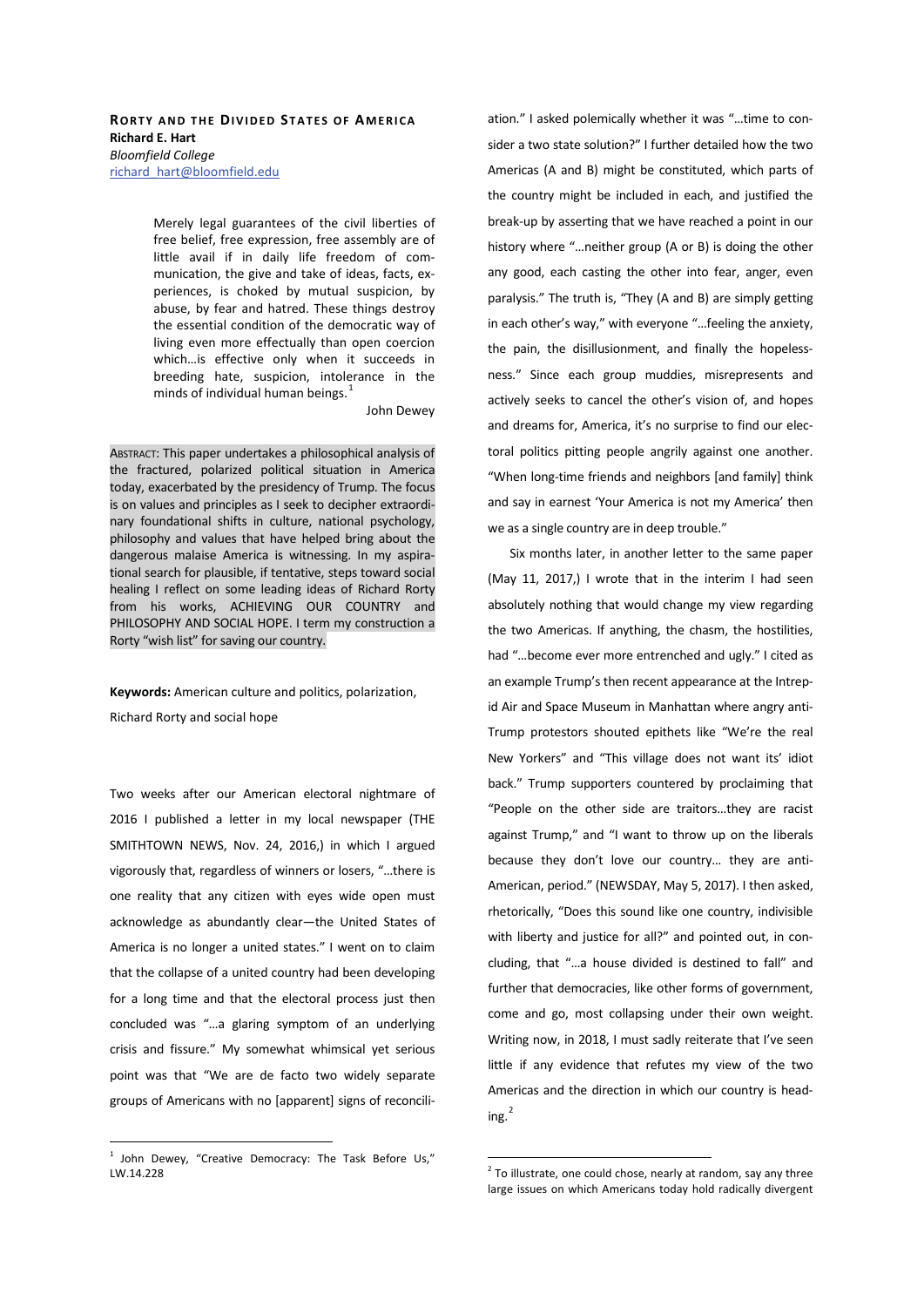## **RORTY AND THE DIVIDED STATES OF AMERICA Richard F** Hart *Bloomfield College*  richard\_hart@bloomfield.edu

Merely legal guarantees of the civil liberties of free belief, free expression, free assembly are of little avail if in daily life freedom of communication, the give and take of ideas, facts, experiences, is choked by mutual suspicion, by abuse, by fear and hatred. These things destroy the essential condition of the democratic way of living even more effectually than open coercion which…is effective only when it succeeds in breeding hate, suspicion, intolerance in the minds of individual human beings.<sup>1</sup>

John Dewey

ABSTRACT: This paper undertakes a philosophical analysis of the fractured, polarized political situation in America today, exacerbated by the presidency of Trump. The focus is on values and principles as I seek to decipher extraordinary foundational shifts in culture, national psychology, philosophy and values that have helped bring about the dangerous malaise America is witnessing. In my aspirational search for plausible, if tentative, steps toward social healing I reflect on some leading ideas of Richard Rorty from his works, ACHIEVING OUR COUNTRY and PHILOSOPHY AND SOCIAL HOPE. I term my construction a Rorty "wish list" for saving our country.

Keywords: American culture and politics, polarization, Richard Rorty and social hope

Two weeks after our American electoral nightmare of 2016 I published a letter in my local newspaper (THE SMITHTOWN NEWS, Nov. 24, 2016,) in which I argued vigorously that, regardless of winners or losers, "…there is one reality that any citizen with eyes wide open must acknowledge as abundantly clear—the United States of America is no longer a united states." I went on to claim that the collapse of a united country had been developing for a long time and that the electoral process just then concluded was "…a glaring symptom of an underlying crisis and fissure." My somewhat whimsical yet serious point was that "We are de facto two widely separate groups of Americans with no [apparent] signs of reconciliation." I asked polemically whether it was "…time to consider a two state solution?" I further detailed how the two Americas (A and B) might be constituted, which parts of the country might be included in each, and justified the break-up by asserting that we have reached a point in our history where "…neither group (A or B) is doing the other any good, each casting the other into fear, anger, even paralysis." The truth is, "They (A and B) are simply getting in each other's way," with everyone "…feeling the anxiety, the pain, the disillusionment, and finally the hopelessness." Since each group muddies, misrepresents and actively seeks to cancel the other's vision of, and hopes and dreams for, America, it's no surprise to find our electoral politics pitting people angrily against one another. "When long-time friends and neighbors [and family] think and say in earnest 'Your America is not my America' then we as a single country are in deep trouble."

Six months later, in another letter to the same paper (May 11, 2017,) I wrote that in the interim I had seen absolutely nothing that would change my view regarding the two Americas. If anything, the chasm, the hostilities, had "…become ever more entrenched and ugly." I cited as an example Trump's then recent appearance at the Intrepid Air and Space Museum in Manhattan where angry anti-Trump protestors shouted epithets like "We're the real New Yorkers" and "This village does not want its' idiot back." Trump supporters countered by proclaiming that "People on the other side are traitors…they are racist against Trump," and "I want to throw up on the liberals because they don't love our country… they are anti-American, period." (NEWSDAY, May 5, 2017). I then asked, rhetorically, "Does this sound like one country, indivisible with liberty and justice for all?" and pointed out, in concluding, that "…a house divided is destined to fall" and further that democracies, like other forms of government, come and go, most collapsing under their own weight. Writing now, in 2018, I must sadly reiterate that I've seen little if any evidence that refutes my view of the two Americas and the direction in which our country is head $ine<sup>2</sup>$ 

 $1$  John Dewey, "Creative Democracy: The Task Before Us," LW.14.228

 $2$  To illustrate, one could chose, nearly at random, say any three large issues on which Americans today hold radically divergent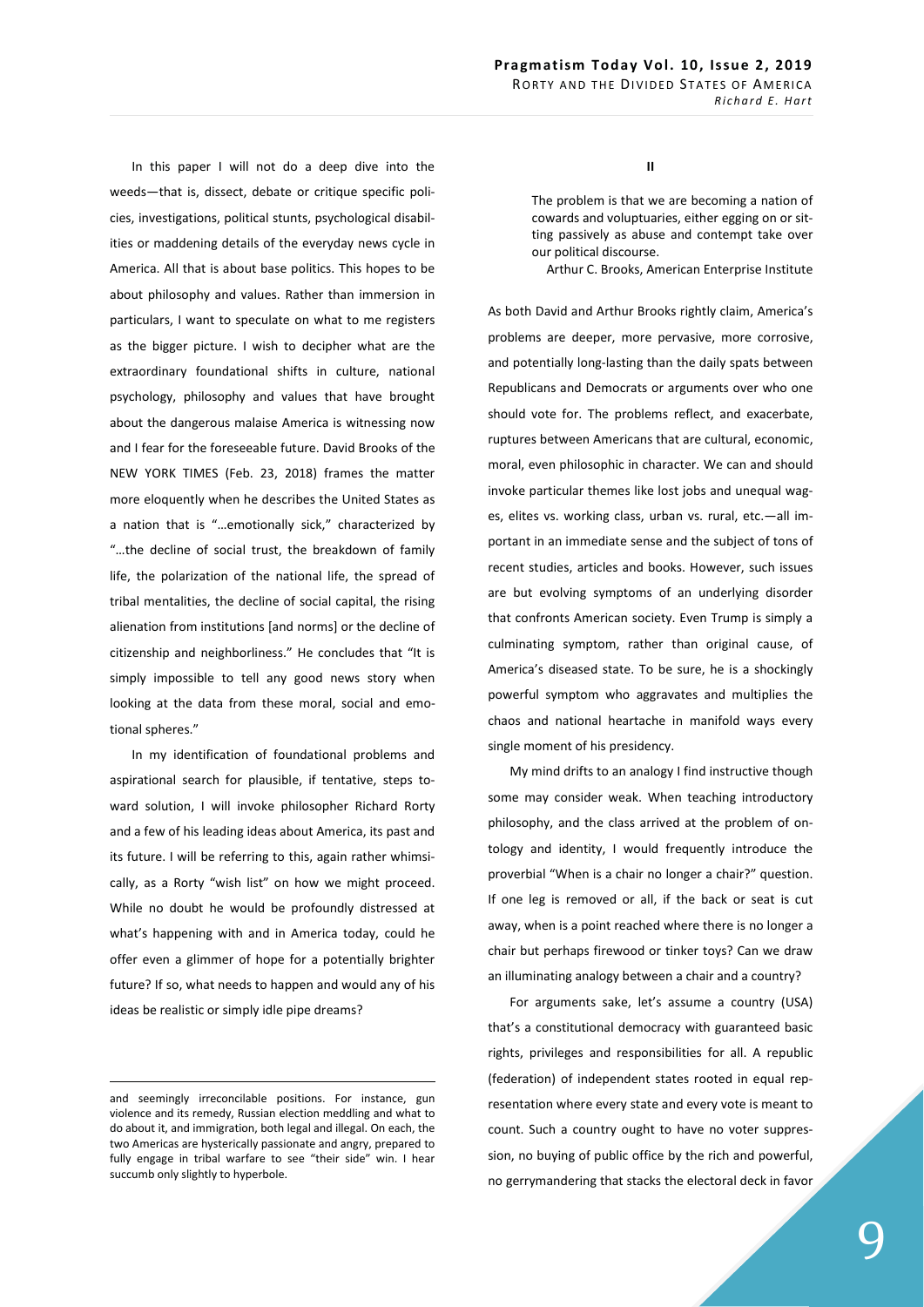In this paper I will not do a deep dive into the weeds—that is, dissect, debate or critique specific policies, investigations, political stunts, psychological disabilities or maddening details of the everyday news cycle in America. All that is about base politics. This hopes to be about philosophy and values. Rather than immersion in particulars, I want to speculate on what to me registers as the bigger picture. I wish to decipher what are the extraordinary foundational shifts in culture, national psychology, philosophy and values that have brought about the dangerous malaise America is witnessing now and I fear for the foreseeable future. David Brooks of the NEW YORK TIMES (Feb. 23, 2018) frames the matter more eloquently when he describes the United States as a nation that is "…emotionally sick," characterized by "…the decline of social trust, the breakdown of family life, the polarization of the national life, the spread of tribal mentalities, the decline of social capital, the rising alienation from institutions [and norms] or the decline of citizenship and neighborliness." He concludes that "It is simply impossible to tell any good news story when looking at the data from these moral, social and emotional spheres."

In my identification of foundational problems and aspirational search for plausible, if tentative, steps toward solution, I will invoke philosopher Richard Rorty and a few of his leading ideas about America, its past and its future. I will be referring to this, again rather whimsically, as a Rorty "wish list" on how we might proceed. While no doubt he would be profoundly distressed at what's happening with and in America today, could he offer even a glimmer of hope for a potentially brighter future? If so, what needs to happen and would any of his ideas be realistic or simply idle pipe dreams?

## **II**

The problem is that we are becoming a nation of cowards and voluptuaries, either egging on or sitting passively as abuse and contempt take over our political discourse.

Arthur C. Brooks, American Enterprise Institute

As both David and Arthur Brooks rightly claim, America's problems are deeper, more pervasive, more corrosive, and potentially long-lasting than the daily spats between Republicans and Democrats or arguments over who one should vote for. The problems reflect, and exacerbate, ruptures between Americans that are cultural, economic, moral, even philosophic in character. We can and should invoke particular themes like lost jobs and unequal wages, elites vs. working class, urban vs. rural, etc.—all important in an immediate sense and the subject of tons of recent studies, articles and books. However, such issues are but evolving symptoms of an underlying disorder that confronts American society. Even Trump is simply a culminating symptom, rather than original cause, of America's diseased state. To be sure, he is a shockingly powerful symptom who aggravates and multiplies the chaos and national heartache in manifold ways every single moment of his presidency.

My mind drifts to an analogy I find instructive though some may consider weak. When teaching introductory philosophy, and the class arrived at the problem of ontology and identity, I would frequently introduce the proverbial "When is a chair no longer a chair?" question. If one leg is removed or all, if the back or seat is cut away, when is a point reached where there is no longer a chair but perhaps firewood or tinker toys? Can we draw an illuminating analogy between a chair and a country?

For arguments sake, let's assume a country (USA) that's a constitutional democracy with guaranteed basic rights, privileges and responsibilities for all. A republic (federation) of independent states rooted in equal representation where every state and every vote is meant to count. Such a country ought to have no voter suppression, no buying of public office by the rich and powerful, no gerrymandering that stacks the electoral deck in favor

and seemingly irreconcilable positions. For instance, gun violence and its remedy, Russian election meddling and what to do about it, and immigration, both legal and illegal. On each, the two Americas are hysterically passionate and angry, prepared to fully engage in tribal warfare to see "their side" win. I hear succumb only slightly to hyperbole.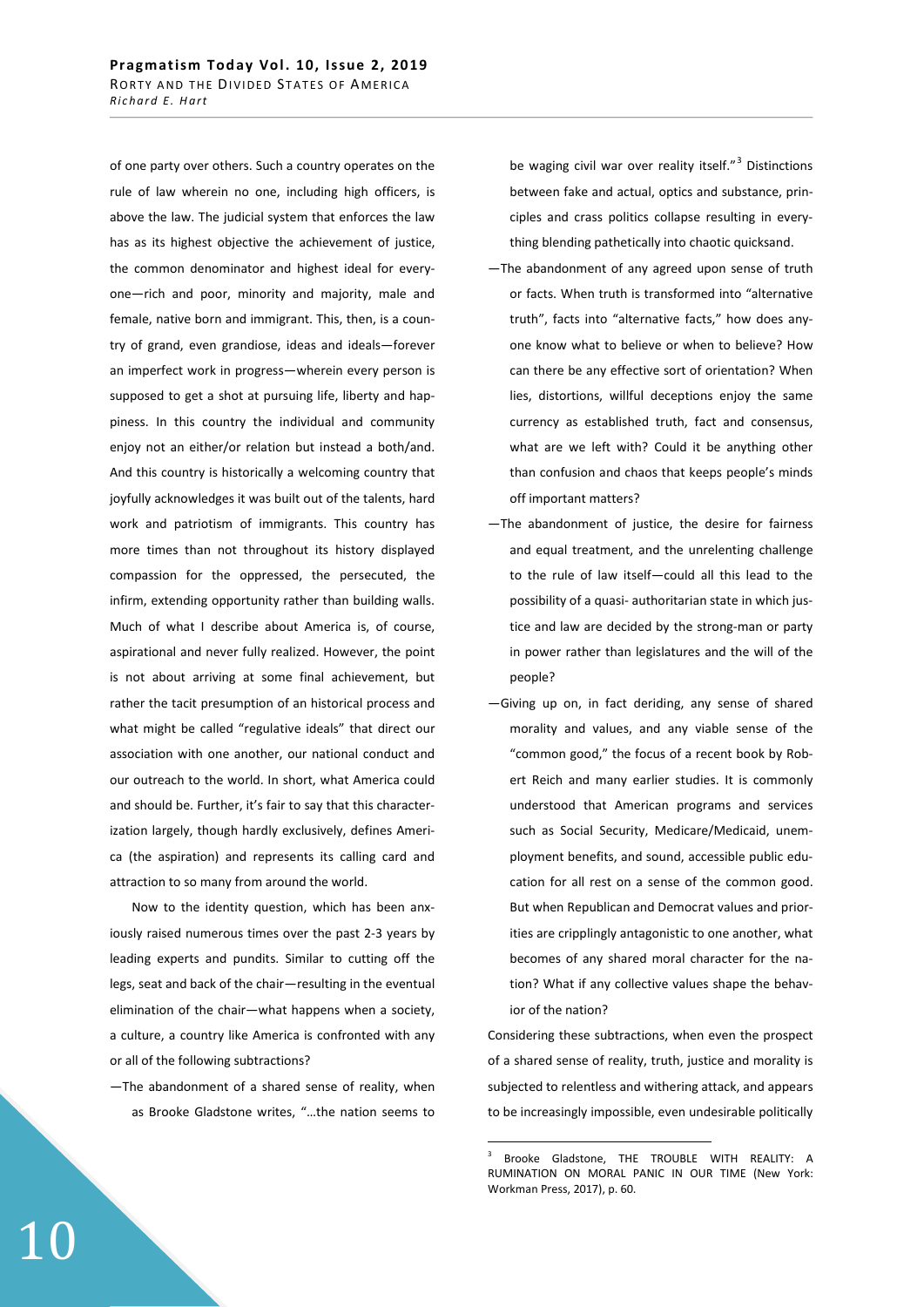of one party over others. Such a country operates on the rule of law wherein no one, including high officers, is above the law. The judicial system that enforces the law has as its highest objective the achievement of justice, the common denominator and highest ideal for everyone—rich and poor, minority and majority, male and female, native born and immigrant. This, then, is a country of grand, even grandiose, ideas and ideals—forever an imperfect work in progress—wherein every person is supposed to get a shot at pursuing life, liberty and happiness. In this country the individual and community enjoy not an either/or relation but instead a both/and. And this country is historically a welcoming country that joyfully acknowledges it was built out of the talents, hard work and patriotism of immigrants. This country has more times than not throughout its history displayed compassion for the oppressed, the persecuted, the infirm, extending opportunity rather than building walls. Much of what I describe about America is, of course, aspirational and never fully realized. However, the point is not about arriving at some final achievement, but rather the tacit presumption of an historical process and what might be called "regulative ideals" that direct our association with one another, our national conduct and our outreach to the world. In short, what America could and should be. Further, it's fair to say that this characterization largely, though hardly exclusively, defines America (the aspiration) and represents its calling card and attraction to so many from around the world.

Now to the identity question, which has been anxiously raised numerous times over the past 2-3 years by leading experts and pundits. Similar to cutting off the legs, seat and back of the chair—resulting in the eventual elimination of the chair—what happens when a society, a culture, a country like America is confronted with any or all of the following subtractions?

—The abandonment of a shared sense of reality, when as Brooke Gladstone writes, "…the nation seems to

be waging civil war over reality itself."<sup>3</sup> Distinctions between fake and actual, optics and substance, principles and crass politics collapse resulting in everything blending pathetically into chaotic quicksand.

- —The abandonment of any agreed upon sense of truth or facts. When truth is transformed into "alternative truth", facts into "alternative facts," how does anyone know what to believe or when to believe? How can there be any effective sort of orientation? When lies, distortions, willful deceptions enjoy the same currency as established truth, fact and consensus, what are we left with? Could it be anything other than confusion and chaos that keeps people's minds off important matters?
- —The abandonment of justice, the desire for fairness and equal treatment, and the unrelenting challenge to the rule of law itself—could all this lead to the possibility of a quasi- authoritarian state in which justice and law are decided by the strong-man or party in power rather than legislatures and the will of the people?
- —Giving up on, in fact deriding, any sense of shared morality and values, and any viable sense of the "common good," the focus of a recent book by Robert Reich and many earlier studies. It is commonly understood that American programs and services such as Social Security, Medicare/Medicaid, unemployment benefits, and sound, accessible public education for all rest on a sense of the common good. But when Republican and Democrat values and priorities are cripplingly antagonistic to one another, what becomes of any shared moral character for the nation? What if any collective values shape the behavior of the nation?

Considering these subtractions, when even the prospect of a shared sense of reality, truth, justice and morality is subjected to relentless and withering attack, and appears to be increasingly impossible, even undesirable politically

<sup>3</sup> Brooke Gladstone, THE TROUBLE WITH REALITY: A RUMINATION ON MORAL PANIC IN OUR TIME (New York: Workman Press, 2017), p. 60.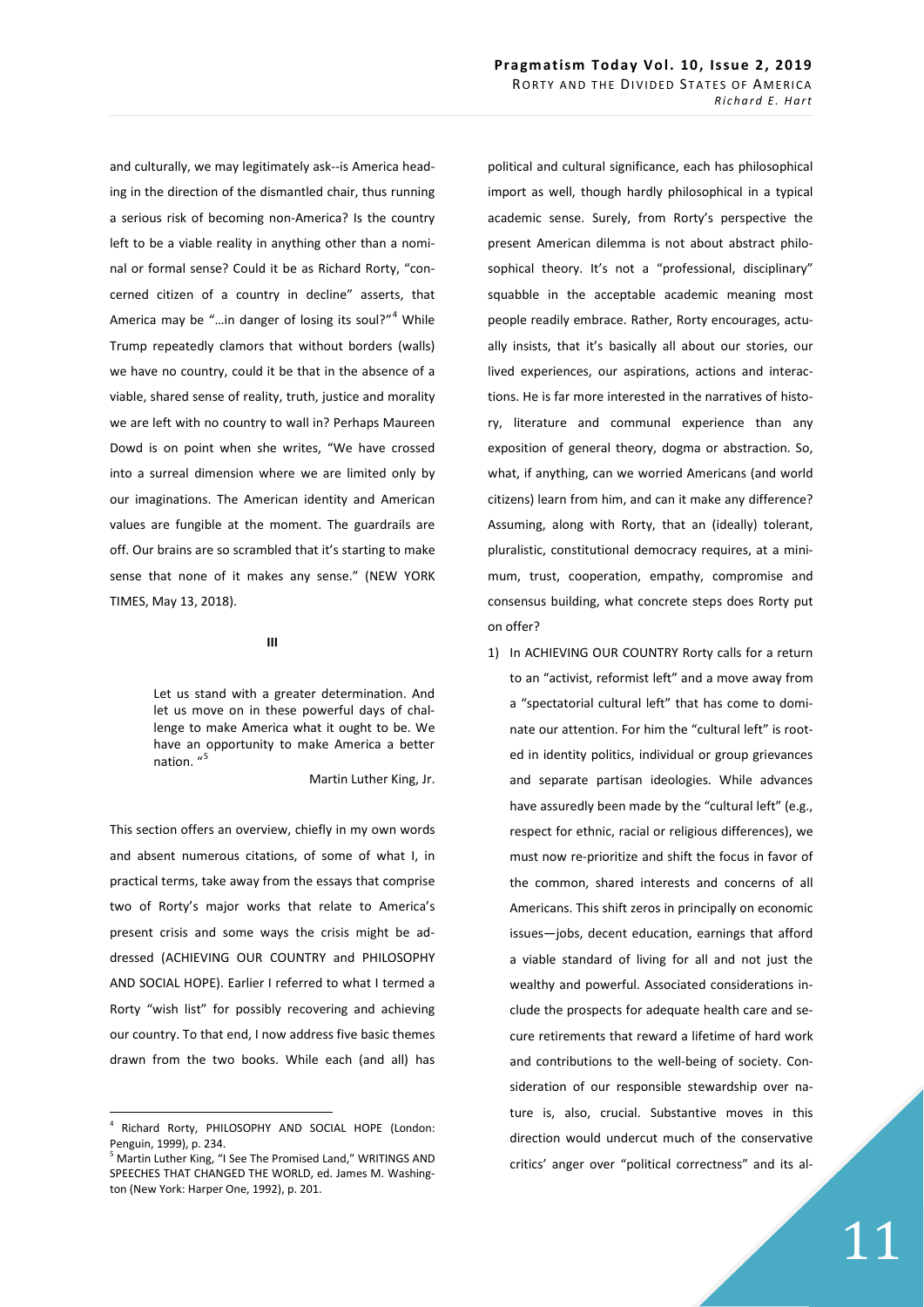and culturally, we may legitimately ask--is America heading in the direction of the dismantled chair, thus running a serious risk of becoming non-America? Is the country left to be a viable reality in anything other than a nominal or formal sense? Could it be as Richard Rorty, "concerned citizen of a country in decline" asserts, that America may be "...in danger of losing its soul?"<sup>4</sup> While Trump repeatedly clamors that without borders (walls) we have no country, could it be that in the absence of a viable, shared sense of reality, truth, justice and morality we are left with no country to wall in? Perhaps Maureen Dowd is on point when she writes, "We have crossed into a surreal dimension where we are limited only by our imaginations. The American identity and American values are fungible at the moment. The guardrails are off. Our brains are so scrambled that it's starting to make sense that none of it makes any sense." (NEW YORK TIMES, May 13, 2018).

## **III**

Let us stand with a greater determination. And let us move on in these powerful days of challenge to make America what it ought to be. We have an opportunity to make America a better nation. "

Martin Luther King, Jr.

This section offers an overview, chiefly in my own words and absent numerous citations, of some of what I, in practical terms, take away from the essays that comprise two of Rorty's major works that relate to America's present crisis and some ways the crisis might be addressed (ACHIEVING OUR COUNTRY and PHILOSOPHY AND SOCIAL HOPE). Earlier I referred to what I termed a Rorty "wish list" for possibly recovering and achieving our country. To that end, I now address five basic themes drawn from the two books. While each (and all) has political and cultural significance, each has philosophical import as well, though hardly philosophical in a typical academic sense. Surely, from Rorty's perspective the present American dilemma is not about abstract philosophical theory. It's not a "professional, disciplinary" squabble in the acceptable academic meaning most people readily embrace. Rather, Rorty encourages, actually insists, that it's basically all about our stories, our lived experiences, our aspirations, actions and interactions. He is far more interested in the narratives of history, literature and communal experience than any exposition of general theory, dogma or abstraction. So, what, if anything, can we worried Americans (and world citizens) learn from him, and can it make any difference? Assuming, along with Rorty, that an (ideally) tolerant, pluralistic, constitutional democracy requires, at a minimum, trust, cooperation, empathy, compromise and consensus building, what concrete steps does Rorty put on offer?

1) In ACHIEVING OUR COUNTRY Rorty calls for a return to an "activist, reformist left" and a move away from a "spectatorial cultural left" that has come to dominate our attention. For him the "cultural left" is rooted in identity politics, individual or group grievances and separate partisan ideologies. While advances have assuredly been made by the "cultural left" (e.g., respect for ethnic, racial or religious differences), we must now re-prioritize and shift the focus in favor of the common, shared interests and concerns of all Americans. This shift zeros in principally on economic issues—jobs, decent education, earnings that afford a viable standard of living for all and not just the wealthy and powerful. Associated considerations include the prospects for adequate health care and secure retirements that reward a lifetime of hard work and contributions to the well-being of society. Consideration of our responsible stewardship over nature is, also, crucial. Substantive moves in this direction would undercut much of the conservative critics' anger over "political correctness" and its al-

<sup>4</sup> Richard Rorty, PHILOSOPHY AND SOCIAL HOPE (London: Penguin, 1999), p. 234.

<sup>&</sup>lt;sup>5</sup> Martin Luther King, "I See The Promised Land," WRITINGS AND SPEECHES THAT CHANGED THE WORLD, ed. James M. Washington (New York: Harper One, 1992), p. 201.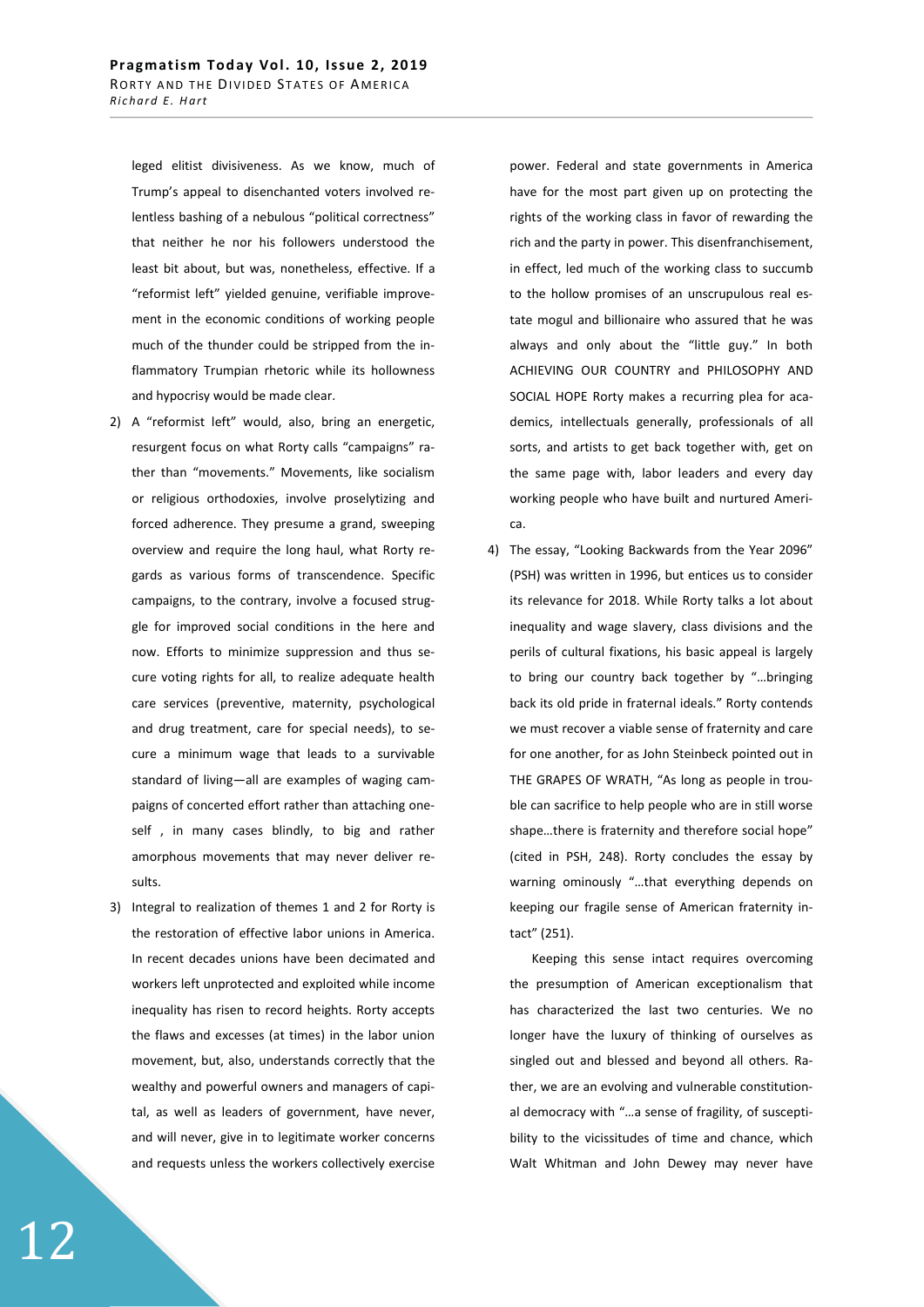leged elitist divisiveness. As we know, much of Trump's appeal to disenchanted voters involved relentless bashing of a nebulous "political correctness" that neither he nor his followers understood the least bit about, but was, nonetheless, effective. If a "reformist left" yielded genuine, verifiable improvement in the economic conditions of working people much of the thunder could be stripped from the inflammatory Trumpian rhetoric while its hollowness and hypocrisy would be made clear.

- 2) A "reformist left" would, also, bring an energetic, resurgent focus on what Rorty calls "campaigns" rather than "movements." Movements, like socialism or religious orthodoxies, involve proselytizing and forced adherence. They presume a grand, sweeping overview and require the long haul, what Rorty regards as various forms of transcendence. Specific campaigns, to the contrary, involve a focused struggle for improved social conditions in the here and now. Efforts to minimize suppression and thus secure voting rights for all, to realize adequate health care services (preventive, maternity, psychological and drug treatment, care for special needs), to secure a minimum wage that leads to a survivable standard of living—all are examples of waging campaigns of concerted effort rather than attaching oneself , in many cases blindly, to big and rather amorphous movements that may never deliver results.
- 3) Integral to realization of themes 1 and 2 for Rorty is the restoration of effective labor unions in America. In recent decades unions have been decimated and workers left unprotected and exploited while income inequality has risen to record heights. Rorty accepts the flaws and excesses (at times) in the labor union movement, but, also, understands correctly that the wealthy and powerful owners and managers of capital, as well as leaders of government, have never, and will never, give in to legitimate worker concerns and requests unless the workers collectively exercise

power. Federal and state governments in America have for the most part given up on protecting the rights of the working class in favor of rewarding the rich and the party in power. This disenfranchisement, in effect, led much of the working class to succumb to the hollow promises of an unscrupulous real estate mogul and billionaire who assured that he was always and only about the "little guy." In both ACHIEVING OUR COUNTRY and PHILOSOPHY AND SOCIAL HOPE Rorty makes a recurring plea for academics, intellectuals generally, professionals of all sorts, and artists to get back together with, get on the same page with, labor leaders and every day working people who have built and nurtured America.

4) The essay, "Looking Backwards from the Year 2096" (PSH) was written in 1996, but entices us to consider its relevance for 2018. While Rorty talks a lot about inequality and wage slavery, class divisions and the perils of cultural fixations, his basic appeal is largely to bring our country back together by "…bringing back its old pride in fraternal ideals." Rorty contends we must recover a viable sense of fraternity and care for one another, for as John Steinbeck pointed out in THE GRAPES OF WRATH, "As long as people in trouble can sacrifice to help people who are in still worse shape…there is fraternity and therefore social hope" (cited in PSH, 248). Rorty concludes the essay by warning ominously "…that everything depends on keeping our fragile sense of American fraternity intact" (251).

Keeping this sense intact requires overcoming the presumption of American exceptionalism that has characterized the last two centuries. We no longer have the luxury of thinking of ourselves as singled out and blessed and beyond all others. Rather, we are an evolving and vulnerable constitutional democracy with "…a sense of fragility, of susceptibility to the vicissitudes of time and chance, which Walt Whitman and John Dewey may never have

12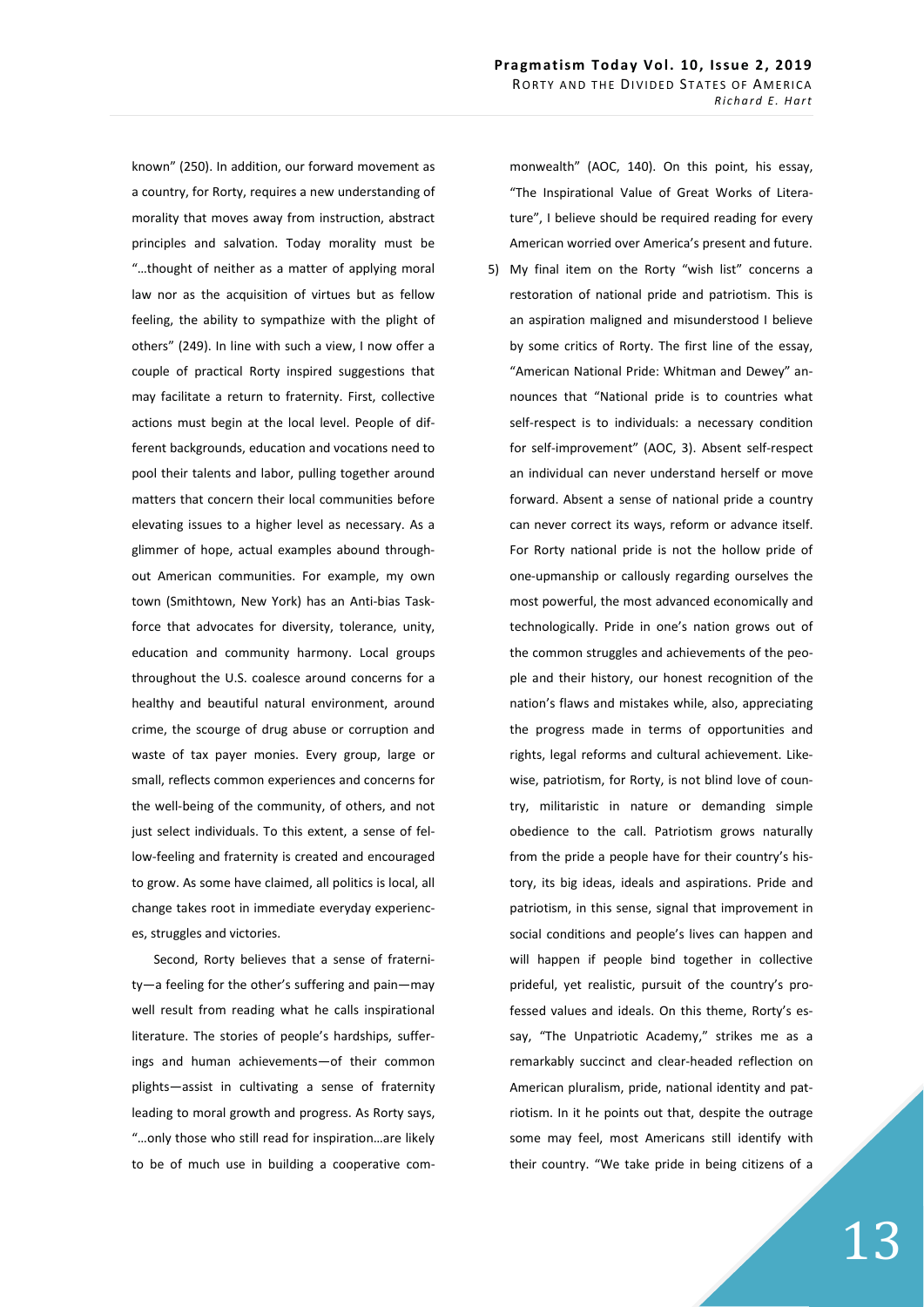known" (250). In addition, our forward movement as a country, for Rorty, requires a new understanding of morality that moves away from instruction, abstract principles and salvation. Today morality must be "…thought of neither as a matter of applying moral law nor as the acquisition of virtues but as fellow feeling, the ability to sympathize with the plight of others" (249). In line with such a view, I now offer a couple of practical Rorty inspired suggestions that may facilitate a return to fraternity. First, collective actions must begin at the local level. People of different backgrounds, education and vocations need to pool their talents and labor, pulling together around matters that concern their local communities before elevating issues to a higher level as necessary. As a glimmer of hope, actual examples abound throughout American communities. For example, my own town (Smithtown, New York) has an Anti-bias Taskforce that advocates for diversity, tolerance, unity, education and community harmony. Local groups throughout the U.S. coalesce around concerns for a healthy and beautiful natural environment, around crime, the scourge of drug abuse or corruption and waste of tax payer monies. Every group, large or small, reflects common experiences and concerns for the well-being of the community, of others, and not just select individuals. To this extent, a sense of fellow-feeling and fraternity is created and encouraged to grow. As some have claimed, all politics is local, all change takes root in immediate everyday experiences, struggles and victories.

Second, Rorty believes that a sense of fraternity—a feeling for the other's suffering and pain—may well result from reading what he calls inspirational literature. The stories of people's hardships, sufferings and human achievements—of their common plights—assist in cultivating a sense of fraternity leading to moral growth and progress. As Rorty says, "…only those who still read for inspiration…are likely to be of much use in building a cooperative commonwealth" (AOC, 140). On this point, his essay, "The Inspirational Value of Great Works of Literature", I believe should be required reading for every American worried over America's present and future.

5) My final item on the Rorty "wish list" concerns a restoration of national pride and patriotism. This is an aspiration maligned and misunderstood I believe by some critics of Rorty. The first line of the essay, "American National Pride: Whitman and Dewey" announces that "National pride is to countries what self-respect is to individuals: a necessary condition for self-improvement" (AOC, 3). Absent self-respect an individual can never understand herself or move forward. Absent a sense of national pride a country can never correct its ways, reform or advance itself. For Rorty national pride is not the hollow pride of one-upmanship or callously regarding ourselves the most powerful, the most advanced economically and technologically. Pride in one's nation grows out of the common struggles and achievements of the people and their history, our honest recognition of the nation's flaws and mistakes while, also, appreciating the progress made in terms of opportunities and rights, legal reforms and cultural achievement. Likewise, patriotism, for Rorty, is not blind love of country, militaristic in nature or demanding simple obedience to the call. Patriotism grows naturally from the pride a people have for their country's history, its big ideas, ideals and aspirations. Pride and patriotism, in this sense, signal that improvement in social conditions and people's lives can happen and will happen if people bind together in collective prideful, yet realistic, pursuit of the country's professed values and ideals. On this theme, Rorty's essay, "The Unpatriotic Academy," strikes me as a remarkably succinct and clear-headed reflection on American pluralism, pride, national identity and patriotism. In it he points out that, despite the outrage some may feel, most Americans still identify with their country. "We take pride in being citizens of a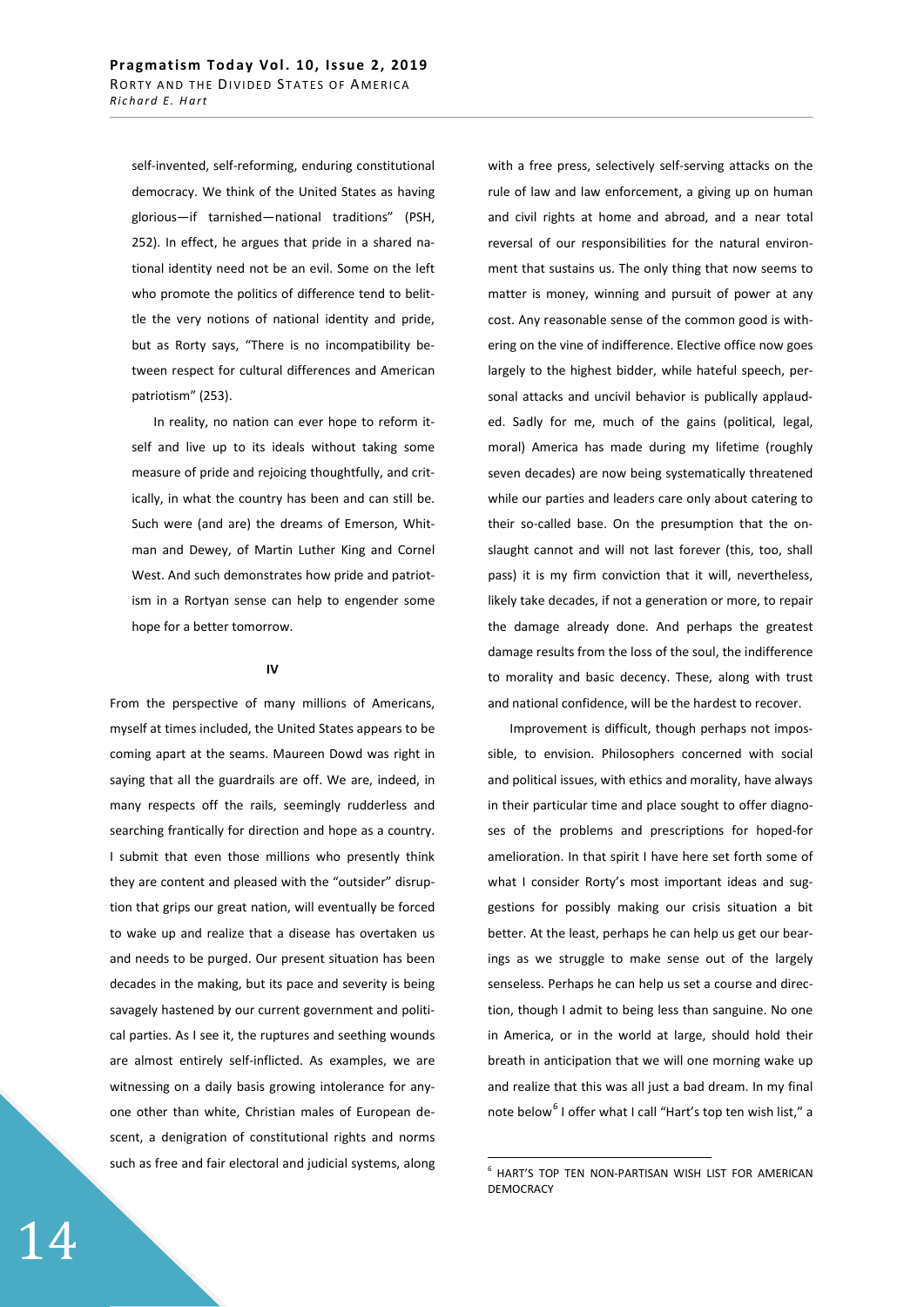self-invented, self-reforming, enduring constitutional democracy. We think of the United States as having glorious—if tarnished—national traditions" (PSH, 252). In effect, he argues that pride in a shared national identity need not be an evil. Some on the left who promote the politics of difference tend to belittle the very notions of national identity and pride, but as Rorty says, "There is no incompatibility between respect for cultural differences and American patriotism" (253).

In reality, no nation can ever hope to reform itself and live up to its ideals without taking some measure of pride and rejoicing thoughtfully, and critically, in what the country has been and can still be. Such were (and are) the dreams of Emerson, Whitman and Dewey, of Martin Luther King and Cornel West. And such demonstrates how pride and patriotism in a Rortyan sense can help to engender some hope for a better tomorrow.

## **IV**

From the perspective of many millions of Americans, myself at times included, the United States appears to be coming apart at the seams. Maureen Dowd was right in saying that all the guardrails are off. We are, indeed, in many respects off the rails, seemingly rudderless and searching frantically for direction and hope as a country. I submit that even those millions who presently think they are content and pleased with the "outsider" disruption that grips our great nation, will eventually be forced to wake up and realize that a disease has overtaken us and needs to be purged. Our present situation has been decades in the making, but its pace and severity is being savagely hastened by our current government and political parties. As I see it, the ruptures and seething wounds are almost entirely self-inflicted. As examples, we are witnessing on a daily basis growing intolerance for anyone other than white, Christian males of European descent, a denigration of constitutional rights and norms such as free and fair electoral and judicial systems, along with a free press, selectively self-serving attacks on the rule of law and law enforcement, a giving up on human and civil rights at home and abroad, and a near total reversal of our responsibilities for the natural environment that sustains us. The only thing that now seems to matter is money, winning and pursuit of power at any cost. Any reasonable sense of the common good is withering on the vine of indifference. Elective office now goes largely to the highest bidder, while hateful speech, personal attacks and uncivil behavior is publically applauded. Sadly for me, much of the gains (political, legal, moral) America has made during my lifetime (roughly seven decades) are now being systematically threatened while our parties and leaders care only about catering to their so-called base. On the presumption that the onslaught cannot and will not last forever (this, too, shall pass) it is my firm conviction that it will, nevertheless, likely take decades, if not a generation or more, to repair the damage already done. And perhaps the greatest damage results from the loss of the soul, the indifference to morality and basic decency. These, along with trust and national confidence, will be the hardest to recover.

Improvement is difficult, though perhaps not impossible, to envision. Philosophers concerned with social and political issues, with ethics and morality, have always in their particular time and place sought to offer diagnoses of the problems and prescriptions for hoped-for amelioration. In that spirit I have here set forth some of what I consider Rorty's most important ideas and suggestions for possibly making our crisis situation a bit better. At the least, perhaps he can help us get our bearings as we struggle to make sense out of the largely senseless. Perhaps he can help us set a course and direction, though I admit to being less than sanguine. No one in America, or in the world at large, should hold their breath in anticipation that we will one morning wake up and realize that this was all just a bad dream. In my final note below<sup>6</sup> I offer what I call "Hart's top ten wish list," a

<sup>6</sup> HART'S TOP TEN NON-PARTISAN WISH LIST FOR AMERICAN DEMOCRACY